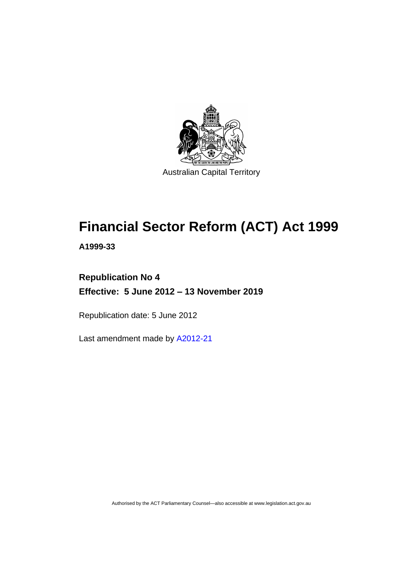

# **Financial Sector Reform (ACT) Act 1999**

**A1999-33**

# **Republication No 4 Effective: 5 June 2012 – 13 November 2019**

Republication date: 5 June 2012

Last amendment made by [A2012-21](http://www.legislation.act.gov.au/a/2012-21)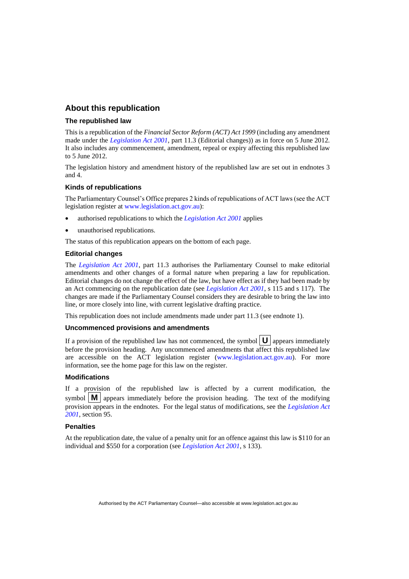# **About this republication**

#### **The republished law**

This is a republication of the *Financial Sector Reform (ACT) Act 1999* (including any amendment made under the *[Legislation Act 2001](http://www.legislation.act.gov.au/a/2001-14)*, part 11.3 (Editorial changes)) as in force on 5 June 2012*.*  It also includes any commencement, amendment, repeal or expiry affecting this republished law to 5 June 2012.

The legislation history and amendment history of the republished law are set out in endnotes 3 and 4.

#### **Kinds of republications**

The Parliamentary Counsel's Office prepares 2 kinds of republications of ACT laws (see the ACT legislation register at [www.legislation.act.gov.au\)](http://www.legislation.act.gov.au/):

- authorised republications to which the *[Legislation Act 2001](http://www.legislation.act.gov.au/a/2001-14)* applies
- unauthorised republications.

The status of this republication appears on the bottom of each page.

#### **Editorial changes**

The *[Legislation Act 2001](http://www.legislation.act.gov.au/a/2001-14)*, part 11.3 authorises the Parliamentary Counsel to make editorial amendments and other changes of a formal nature when preparing a law for republication. Editorial changes do not change the effect of the law, but have effect as if they had been made by an Act commencing on the republication date (see *[Legislation Act 2001](http://www.legislation.act.gov.au/a/2001-14)*, s 115 and s 117). The changes are made if the Parliamentary Counsel considers they are desirable to bring the law into line, or more closely into line, with current legislative drafting practice.

This republication does not include amendments made under part 11.3 (see endnote 1).

#### **Uncommenced provisions and amendments**

If a provision of the republished law has not commenced, the symbol  $\mathbf{U}$  appears immediately before the provision heading. Any uncommenced amendments that affect this republished law are accessible on the ACT legislation register [\(www.legislation.act.gov.au\)](http://www.legislation.act.gov.au/). For more information, see the home page for this law on the register.

#### **Modifications**

If a provision of the republished law is affected by a current modification, the symbol  $\mathbf{M}$  appears immediately before the provision heading. The text of the modifying provision appears in the endnotes. For the legal status of modifications, see the *[Legislation Act](http://www.legislation.act.gov.au/a/2001-14)  [2001](http://www.legislation.act.gov.au/a/2001-14)*, section 95.

#### **Penalties**

At the republication date, the value of a penalty unit for an offence against this law is \$110 for an individual and \$550 for a corporation (see *[Legislation Act 2001](http://www.legislation.act.gov.au/a/2001-14)*, s 133).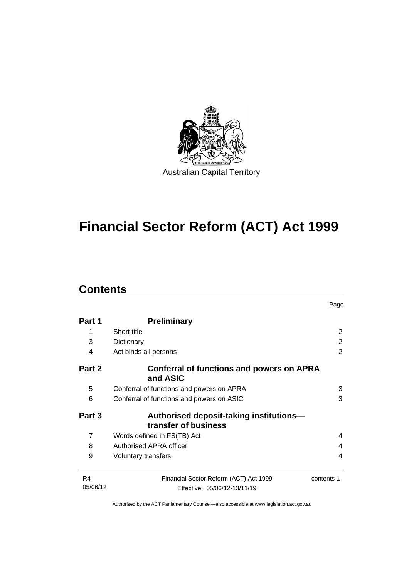

# **Financial Sector Reform (ACT) Act 1999**

# **Contents**

|                |                                                                 | Page       |
|----------------|-----------------------------------------------------------------|------------|
| Part 1         | <b>Preliminary</b>                                              |            |
| 1              | Short title                                                     | 2          |
| 3              | Dictionary                                                      | 2          |
| 4              | Act binds all persons                                           | 2          |
| Part 2         | Conferral of functions and powers on APRA<br>and ASIC           |            |
| 5              | Conferral of functions and powers on APRA                       | 3          |
| 6              | Conferral of functions and powers on ASIC                       | 3          |
| Part 3         | Authorised deposit-taking institutions-<br>transfer of business |            |
| $\overline{7}$ | Words defined in FS(TB) Act                                     | 4          |
| 8              | Authorised APRA officer                                         | 4          |
| 9              | Voluntary transfers                                             | 4          |
| R <sub>4</sub> | Financial Sector Reform (ACT) Act 1999                          | contents 1 |
| 05/06/12       | Effective: 05/06/12-13/11/19                                    |            |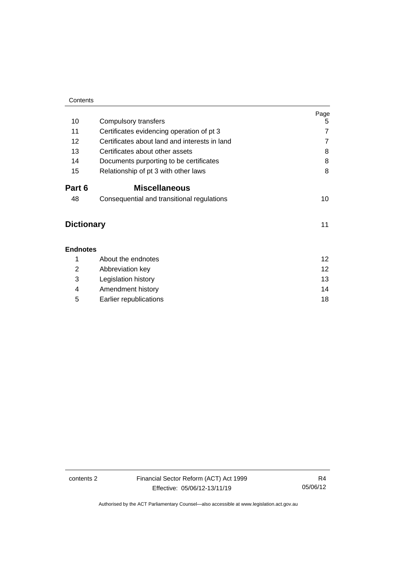| Contents          |                                               |                 |
|-------------------|-----------------------------------------------|-----------------|
|                   |                                               | Page            |
| 10                | Compulsory transfers                          | 5               |
| 11                | Certificates evidencing operation of pt 3     | $\overline{7}$  |
| 12                | Certificates about land and interests in land | $\overline{7}$  |
| 13                | Certificates about other assets               | 8               |
| 14                | Documents purporting to be certificates       | 8               |
| 15                | Relationship of pt 3 with other laws          | 8               |
| Part 6            | <b>Miscellaneous</b>                          |                 |
| 48                | Consequential and transitional regulations    | 10              |
| <b>Dictionary</b> |                                               | 11              |
| <b>Endnotes</b>   |                                               |                 |
| 1                 | About the endnotes                            | 12 <sup>°</sup> |
| 2                 | Abbreviation key                              | 12 <sup>2</sup> |
| 3                 | Legislation history                           | 13              |
| 4                 | Amendment history                             | 14              |
| 5                 | Earlier republications                        | 18              |

contents 2 Financial Sector Reform (ACT) Act 1999 Effective: 05/06/12-13/11/19

R4 05/06/12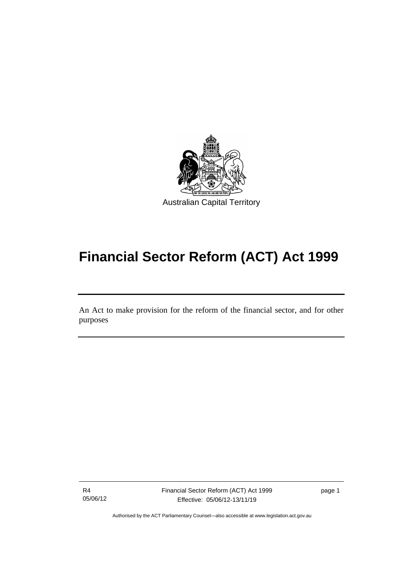

# **Financial Sector Reform (ACT) Act 1999**

An Act to make provision for the reform of the financial sector, and for other purposes

R4 05/06/12

I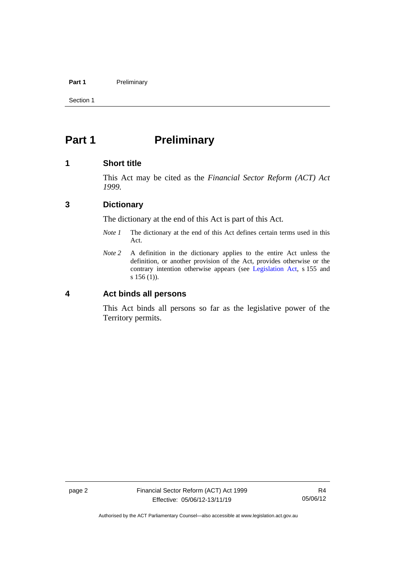### Part 1 **Preliminary**

Section 1

# <span id="page-5-0"></span>**Part 1 Preliminary**

## <span id="page-5-1"></span>**1 Short title**

This Act may be cited as the *Financial Sector Reform (ACT) Act 1999.*

# <span id="page-5-2"></span>**3 Dictionary**

The dictionary at the end of this Act is part of this Act.

- *Note 1* The dictionary at the end of this Act defines certain terms used in this Act.
- *Note 2* A definition in the dictionary applies to the entire Act unless the definition, or another provision of the Act, provides otherwise or the contrary intention otherwise appears (see [Legislation Act,](http://www.legislation.act.gov.au/a/2001-14) s 155 and s 156 (1)).

<span id="page-5-3"></span>**4 Act binds all persons**

This Act binds all persons so far as the legislative power of the Territory permits.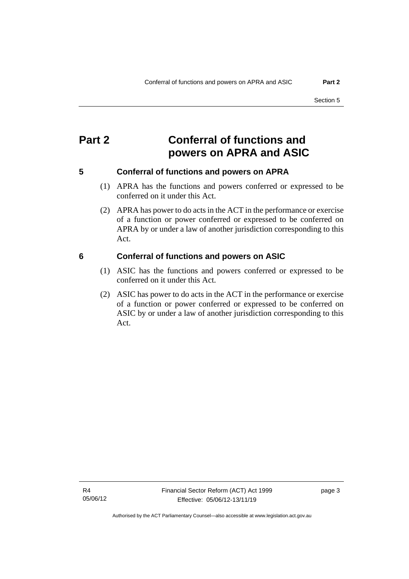# <span id="page-6-0"></span>**Part 2 Conferral of functions and powers on APRA and ASIC**

# <span id="page-6-1"></span>**5 Conferral of functions and powers on APRA**

- (1) APRA has the functions and powers conferred or expressed to be conferred on it under this Act.
- (2) APRA has power to do acts in the ACT in the performance or exercise of a function or power conferred or expressed to be conferred on APRA by or under a law of another jurisdiction corresponding to this Act.

## <span id="page-6-2"></span>**6 Conferral of functions and powers on ASIC**

- (1) ASIC has the functions and powers conferred or expressed to be conferred on it under this Act.
- (2) ASIC has power to do acts in the ACT in the performance or exercise of a function or power conferred or expressed to be conferred on ASIC by or under a law of another jurisdiction corresponding to this Act.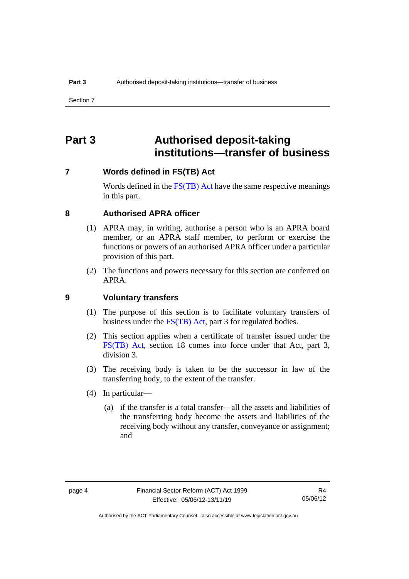# <span id="page-7-0"></span>**Part 3 Authorised deposit-taking institutions—transfer of business**

## <span id="page-7-1"></span>**7 Words defined in FS(TB) Act**

Words defined in the [FS\(TB\) Act](http://www.comlaw.gov.au/Series/C2004A00436) have the same respective meanings in this part.

### <span id="page-7-2"></span>**8 Authorised APRA officer**

- (1) APRA may, in writing, authorise a person who is an APRA board member, or an APRA staff member, to perform or exercise the functions or powers of an authorised APRA officer under a particular provision of this part.
- (2) The functions and powers necessary for this section are conferred on APRA.

# <span id="page-7-3"></span>**9 Voluntary transfers**

- (1) The purpose of this section is to facilitate voluntary transfers of business under the [FS\(TB\) Act,](http://www.comlaw.gov.au/Series/C2004A00436) part 3 for regulated bodies.
- (2) This section applies when a certificate of transfer issued under the [FS\(TB\) Act,](http://www.comlaw.gov.au/Series/C2004A00436) section 18 comes into force under that Act, part 3, division 3.
- (3) The receiving body is taken to be the successor in law of the transferring body, to the extent of the transfer.
- (4) In particular—
	- (a) if the transfer is a total transfer—all the assets and liabilities of the transferring body become the assets and liabilities of the receiving body without any transfer, conveyance or assignment; and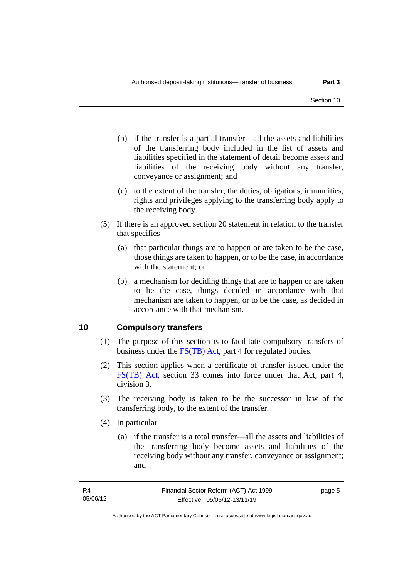- (b) if the transfer is a partial transfer—all the assets and liabilities of the transferring body included in the list of assets and liabilities specified in the statement of detail become assets and liabilities of the receiving body without any transfer, conveyance or assignment; and
- (c) to the extent of the transfer, the duties, obligations, immunities, rights and privileges applying to the transferring body apply to the receiving body.
- (5) If there is an approved section 20 statement in relation to the transfer that specifies—
	- (a) that particular things are to happen or are taken to be the case, those things are taken to happen, or to be the case, in accordance with the statement; or
	- (b) a mechanism for deciding things that are to happen or are taken to be the case, things decided in accordance with that mechanism are taken to happen, or to be the case, as decided in accordance with that mechanism.

# <span id="page-8-0"></span>**10 Compulsory transfers**

- (1) The purpose of this section is to facilitate compulsory transfers of business under the [FS\(TB\) Act,](http://www.comlaw.gov.au/Series/C2004A00436) part 4 for regulated bodies.
- (2) This section applies when a certificate of transfer issued under the [FS\(TB\) Act,](http://www.comlaw.gov.au/Series/C2004A00436) section 33 comes into force under that Act, part 4, division 3.
- (3) The receiving body is taken to be the successor in law of the transferring body, to the extent of the transfer.
- (4) In particular—
	- (a) if the transfer is a total transfer—all the assets and liabilities of the transferring body become assets and liabilities of the receiving body without any transfer, conveyance or assignment; and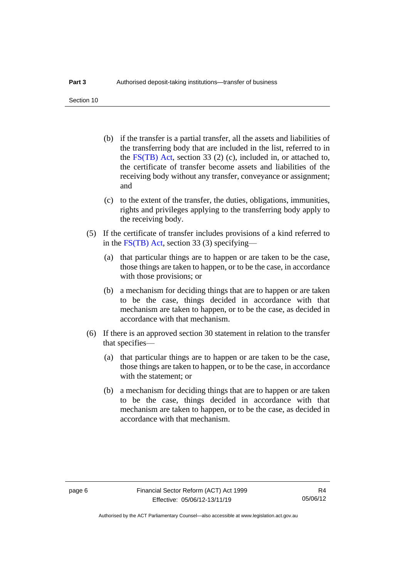- (b) if the transfer is a partial transfer, all the assets and liabilities of the transferring body that are included in the list, referred to in the [FS\(TB\) Act,](http://www.comlaw.gov.au/Series/C2004A00436) section 33 (2) (c), included in, or attached to, the certificate of transfer become assets and liabilities of the receiving body without any transfer, conveyance or assignment; and
- (c) to the extent of the transfer, the duties, obligations, immunities, rights and privileges applying to the transferring body apply to the receiving body.
- (5) If the certificate of transfer includes provisions of a kind referred to in the [FS\(TB\) Act,](http://www.comlaw.gov.au/Series/C2004A00436) section 33 (3) specifying—
	- (a) that particular things are to happen or are taken to be the case, those things are taken to happen, or to be the case, in accordance with those provisions; or
	- (b) a mechanism for deciding things that are to happen or are taken to be the case, things decided in accordance with that mechanism are taken to happen, or to be the case, as decided in accordance with that mechanism.
- (6) If there is an approved section 30 statement in relation to the transfer that specifies—
	- (a) that particular things are to happen or are taken to be the case, those things are taken to happen, or to be the case, in accordance with the statement; or
	- (b) a mechanism for deciding things that are to happen or are taken to be the case, things decided in accordance with that mechanism are taken to happen, or to be the case, as decided in accordance with that mechanism.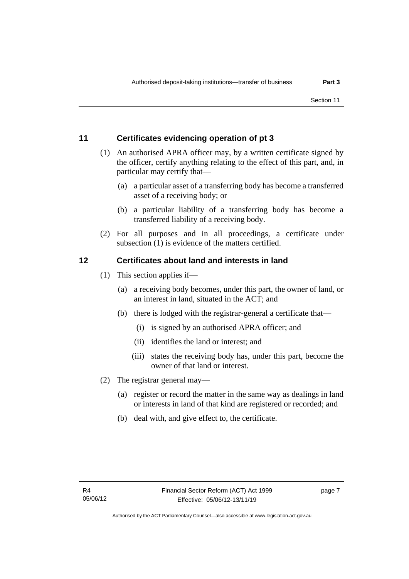# <span id="page-10-0"></span>**11 Certificates evidencing operation of pt 3**

- (1) An authorised APRA officer may, by a written certificate signed by the officer, certify anything relating to the effect of this part, and, in particular may certify that—
	- (a) a particular asset of a transferring body has become a transferred asset of a receiving body; or
	- (b) a particular liability of a transferring body has become a transferred liability of a receiving body.
- (2) For all purposes and in all proceedings, a certificate under subsection (1) is evidence of the matters certified.

# <span id="page-10-1"></span>**12 Certificates about land and interests in land**

- (1) This section applies if—
	- (a) a receiving body becomes, under this part, the owner of land, or an interest in land, situated in the ACT; and
	- (b) there is lodged with the registrar-general a certificate that—
		- (i) is signed by an authorised APRA officer; and
		- (ii) identifies the land or interest; and
		- (iii) states the receiving body has, under this part, become the owner of that land or interest.
- (2) The registrar general may—
	- (a) register or record the matter in the same way as dealings in land or interests in land of that kind are registered or recorded; and
	- (b) deal with, and give effect to, the certificate.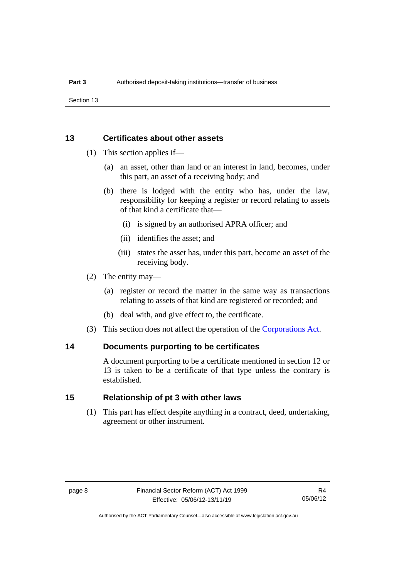Section 13

## <span id="page-11-0"></span>**13 Certificates about other assets**

- (1) This section applies if—
	- (a) an asset, other than land or an interest in land, becomes, under this part, an asset of a receiving body; and
	- (b) there is lodged with the entity who has, under the law, responsibility for keeping a register or record relating to assets of that kind a certificate that—
		- (i) is signed by an authorised APRA officer; and
		- (ii) identifies the asset; and
		- (iii) states the asset has, under this part, become an asset of the receiving body.
- (2) The entity may—
	- (a) register or record the matter in the same way as transactions relating to assets of that kind are registered or recorded; and
	- (b) deal with, and give effect to, the certificate.
- (3) This section does not affect the operation of the [Corporations Act.](http://www.comlaw.gov.au/Series/C2004A00818)

## <span id="page-11-1"></span>**14 Documents purporting to be certificates**

A document purporting to be a certificate mentioned in section 12 or 13 is taken to be a certificate of that type unless the contrary is established.

## <span id="page-11-2"></span>**15 Relationship of pt 3 with other laws**

(1) This part has effect despite anything in a contract, deed, undertaking, agreement or other instrument.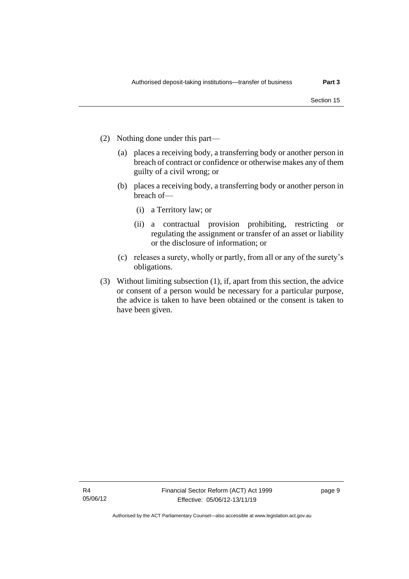- (2) Nothing done under this part—
	- (a) places a receiving body, a transferring body or another person in breach of contract or confidence or otherwise makes any of them guilty of a civil wrong; or
	- (b) places a receiving body, a transferring body or another person in breach of—
		- (i) a Territory law; or
		- (ii) a contractual provision prohibiting, restricting or regulating the assignment or transfer of an asset or liability or the disclosure of information; or
	- (c) releases a surety, wholly or partly, from all or any of the surety's obligations.
- (3) Without limiting subsection (1), if, apart from this section, the advice or consent of a person would be necessary for a particular purpose, the advice is taken to have been obtained or the consent is taken to have been given.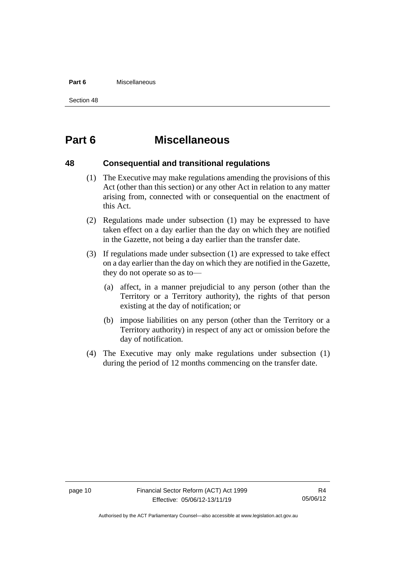#### **Part 6** Miscellaneous

Section 48

# <span id="page-13-0"></span>**Part 6 Miscellaneous**

## <span id="page-13-1"></span>**48 Consequential and transitional regulations**

- (1) The Executive may make regulations amending the provisions of this Act (other than this section) or any other Act in relation to any matter arising from, connected with or consequential on the enactment of this Act.
- (2) Regulations made under subsection (1) may be expressed to have taken effect on a day earlier than the day on which they are notified in the Gazette, not being a day earlier than the transfer date.
- (3) If regulations made under subsection (1) are expressed to take effect on a day earlier than the day on which they are notified in the Gazette, they do not operate so as to—
	- (a) affect, in a manner prejudicial to any person (other than the Territory or a Territory authority), the rights of that person existing at the day of notification; or
	- (b) impose liabilities on any person (other than the Territory or a Territory authority) in respect of any act or omission before the day of notification.
- (4) The Executive may only make regulations under subsection (1) during the period of 12 months commencing on the transfer date.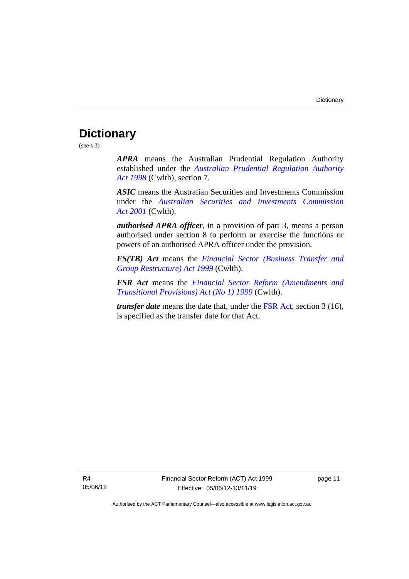# <span id="page-14-0"></span>**Dictionary**

(see s 3)

*APRA* means the Australian Prudential Regulation Authority established under the *Australian [Prudential Regulation Authority](http://www.comlaw.gov.au/Series/C2004A00310)  Act [1998](http://www.comlaw.gov.au/Series/C2004A00310)* (Cwlth), section 7.

*ASIC* means the Australian Securities and Investments Commission under the *[Australian Securities and Investments Commission](http://www.comlaw.gov.au/Series/C2004A00819)  Act [2001](http://www.comlaw.gov.au/Series/C2004A00819)* (Cwlth).

*authorised APRA officer*, in a provision of part 3, means a person authorised under section 8 to perform or exercise the functions or powers of an authorised APRA officer under the provision.

*FS(TB) Act* means the *[Financial Sector \(Business Transfer and](http://www.comlaw.gov.au/Series/C2004A00436)  [Group Restructure\) Act 1999](http://www.comlaw.gov.au/Series/C2004A00436)* (Cwlth).

*FSR Act* means the *[Financial Sector Reform \(Amendments and](http://www.comlaw.gov.au/Series/C2004A00435)  [Transitional Provisions\) Act \(No 1\) 1999](http://www.comlaw.gov.au/Series/C2004A00435)* (Cwlth).

*transfer date* means the date that, under the [FSR Act,](http://www.comlaw.gov.au/Series/C2004A00435) section 3 (16), is specified as the transfer date for that Act.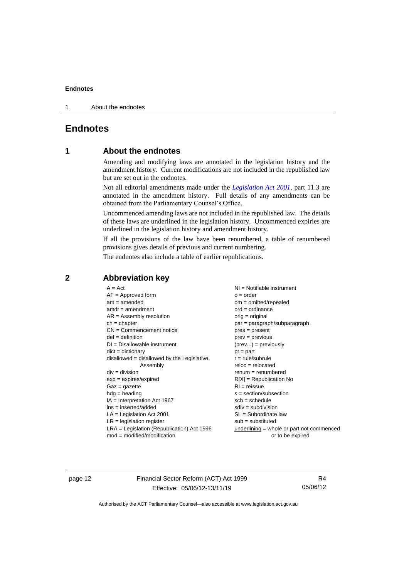1 About the endnotes

# <span id="page-15-1"></span><span id="page-15-0"></span>**Endnotes**

# **1 About the endnotes**

Amending and modifying laws are annotated in the legislation history and the amendment history. Current modifications are not included in the republished law but are set out in the endnotes.

Not all editorial amendments made under the *[Legislation Act 2001](http://www.legislation.act.gov.au/a/2001-14)*, part 11.3 are annotated in the amendment history. Full details of any amendments can be obtained from the Parliamentary Counsel's Office.

Uncommenced amending laws are not included in the republished law. The details of these laws are underlined in the legislation history. Uncommenced expiries are underlined in the legislation history and amendment history.

If all the provisions of the law have been renumbered, a table of renumbered provisions gives details of previous and current numbering.

The endnotes also include a table of earlier republications.

| $A = Act$                                    | $NI =$ Notifiable instrument              |  |
|----------------------------------------------|-------------------------------------------|--|
| $AF =$ Approved form                         | $o = order$                               |  |
| $am = amended$                               | $om = omitted/report$                     |  |
| $amdt = amendment$                           | $ord = ordinance$                         |  |
| $AR = Assembly resolution$                   | $orig = original$                         |  |
| $ch = chapter$                               | par = paragraph/subparagraph              |  |
| $CN =$ Commencement notice                   | $pres = present$                          |  |
| $def = definition$                           | $prev = previous$                         |  |
| $DI = Disallowable instrument$               | $(\text{prev}) = \text{previously}$       |  |
| $dict = dictionary$                          | $pt = part$                               |  |
| $disallowed = disallowed by the Legislative$ | $r = rule/subrule$                        |  |
| Assembly                                     | $reloc = relocated$                       |  |
| $div = division$                             | $remum = renumbered$                      |  |
| $exp = expires/expired$                      | $R[X]$ = Republication No                 |  |
| $Gaz = gazette$                              | $RI = reissue$                            |  |
| $h dq =$ heading                             | $s = section/subsection$                  |  |
| $IA = Interpretation Act 1967$               | $sch = schedule$                          |  |
| $ins = inserted/added$                       | $sdiv = subdivision$                      |  |
| $LA =$ Legislation Act 2001                  | $SL = Subordinate$ law                    |  |
| $LR =$ legislation register                  | $sub =$ substituted                       |  |
| $LRA =$ Legislation (Republication) Act 1996 | underlining = whole or part not commenced |  |
| $mod = modified/modification$                | or to be expired                          |  |
|                                              |                                           |  |

## <span id="page-15-2"></span>**2 Abbreviation key**

page 12 Financial Sector Reform (ACT) Act 1999 Effective: 05/06/12-13/11/19

R4 05/06/12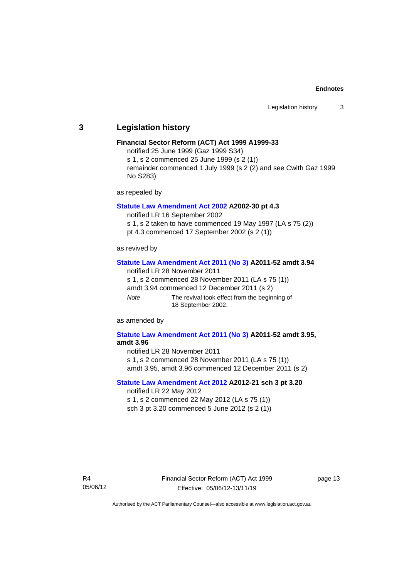#### <span id="page-16-0"></span>**3 Legislation history**

#### **Financial Sector Reform (ACT) Act 1999 A1999-33**

notified 25 June 1999 (Gaz 1999 S34)

s 1, s 2 commenced 25 June 1999 (s 2 (1))

remainder commenced 1 July 1999 (s 2 (2) and see Cwlth Gaz 1999 No S283)

as repealed by

#### **[Statute Law Amendment Act 2002](http://www.legislation.act.gov.au/a/2002-30) A2002-30 pt 4.3**

notified LR 16 September 2002

s 1, s 2 taken to have commenced 19 May 1997 (LA s 75 (2))

pt 4.3 commenced 17 September 2002 (s 2 (1))

as revived by

#### **[Statute Law Amendment Act 2011 \(No](http://www.legislation.act.gov.au/a/2011-52) 3) A2011-52 amdt 3.94**

notified LR 28 November 2011

s 1, s 2 commenced 28 November 2011 (LA s 75 (1))

amdt 3.94 commenced 12 December 2011 (s 2)

*Note* The revival took effect from the beginning of 18 September 2002.

as amended by

# **[Statute Law Amendment Act 2011 \(No](http://www.legislation.act.gov.au/a/2011-52) 3) A2011-52 amdt 3.95,**

**amdt 3.96**

notified LR 28 November 2011

s 1, s 2 commenced 28 November 2011 (LA s 75 (1)) amdt 3.95, amdt 3.96 commenced 12 December 2011 (s 2)

#### **[Statute Law Amendment Act 2012](http://www.legislation.act.gov.au/a/2012-21) A2012-21 sch 3 pt 3.20** notified LR 22 May 2012

s 1, s 2 commenced 22 May 2012 (LA s 75 (1)) sch 3 pt 3.20 commenced 5 June 2012 (s 2 (1))

page 13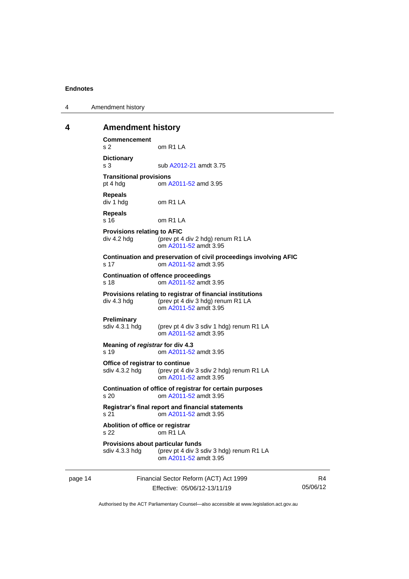| 4 | Amendment history |
|---|-------------------|
|---|-------------------|

#### <span id="page-17-0"></span>**4 Amendment history**

**Commencement** s 2 om R1 LA **Dictionary** s 3 sub [A2012-21](http://www.legislation.act.gov.au/a/2012-21) amdt 3.75 **Transitional provisions**<br>pt 4 hdg om A om [A2011-52](http://www.legislation.act.gov.au/a/2011-52) amd 3.95 **Repeals** div 1 hdg om R1 LA **Repeals** s 16 om R1 LA **Provisions relating to AFIC** div 4.2 hdg (prev pt 4 div 2 hdg) renum R1 LA om [A2011-52](http://www.legislation.act.gov.au/a/2011-52) amdt 3.95 **Continuation and preservation of civil proceedings involving AFIC** s 17 om [A2011-52](http://www.legislation.act.gov.au/a/2011-52) amdt 3.95 **Continuation of offence proceedings** s 18 om [A2011-52](http://www.legislation.act.gov.au/a/2011-52) amdt 3.95 **Provisions relating to registrar of financial institutions** div 4.3 hdg (prev pt 4 div 3 hdg) renum R1 LA om [A2011-52](http://www.legislation.act.gov.au/a/2011-52) amdt 3.95 **Preliminary** sdiv 4.3.1 hdg (prev pt 4 div 3 sdiv 1 hdg) renum R1 LA om [A2011-52](http://www.legislation.act.gov.au/a/2011-52) amdt 3.95 **Meaning of** *registrar* **for div 4.3** s 19 om [A2011-52](http://www.legislation.act.gov.au/a/2011-52) amdt 3.95 **Office of registrar to continue** sdiv 4.3.2 hdg (prev pt 4 div 3 sdiv 2 hdg) renum R1 LA om [A2011-52](http://www.legislation.act.gov.au/a/2011-52) amdt 3.95 **Continuation of office of registrar for certain purposes** s 20 om [A2011-52](http://www.legislation.act.gov.au/a/2011-52) amdt 3.95 **Registrar's final report and financial statements** s 21 om [A2011-52](http://www.legislation.act.gov.au/a/2011-52) amdt 3.95 **Abolition of office or registrar** s 22 om R1 LA **Provisions about particular funds** sdiv 4.3.3 hdg (prev pt 4 div 3 sdiv 3 hdg) renum R1 LA om [A2011-52](http://www.legislation.act.gov.au/a/2011-52) amdt 3.95

page 14 Financial Sector Reform (ACT) Act 1999 Effective: 05/06/12-13/11/19

R4 05/06/12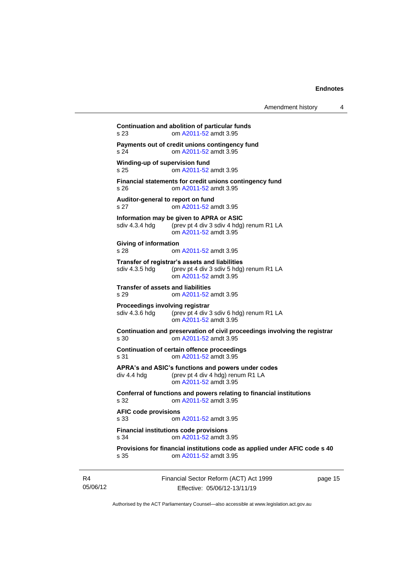| s 23                                              | om A2011-52 amdt 3.95                                                                                               |
|---------------------------------------------------|---------------------------------------------------------------------------------------------------------------------|
| s <sub>24</sub>                                   | Payments out of credit unions contingency fund<br>om A2011-52 amdt 3.95                                             |
| Winding-up of supervision fund<br>s <sub>25</sub> | om A2011-52 amdt 3.95                                                                                               |
| s 26                                              | Financial statements for credit unions contingency fund<br>om A2011-52 amdt 3.95                                    |
| Auditor-general to report on fund<br>s 27         | om A2011-52 amdt 3.95                                                                                               |
| sdiv 4.3.4 hdg                                    | Information may be given to APRA or ASIC<br>(prev pt 4 div 3 sdiv 4 hdg) renum R1 LA<br>om A2011-52 amdt 3.95       |
| Giving of information<br>s <sub>28</sub>          | om A2011-52 amdt 3.95                                                                                               |
| sdiv 4.3.5 hdg                                    | Transfer of registrar's assets and liabilities<br>(prev pt 4 div 3 sdiv 5 hdg) renum R1 LA<br>om A2011-52 amdt 3.95 |
| <b>Transfer of assets and liabilities</b><br>s 29 | om A2011-52 amdt 3.95                                                                                               |
| Proceedings involving registrar<br>sdiv 4.3.6 hdg | (prev pt 4 div 3 sdiv 6 hdg) renum R1 LA<br>om A2011-52 amdt 3.95                                                   |
| s <sub>30</sub>                                   | Continuation and preservation of civil proceedings involving the registrar<br>om A2011-52 amdt 3.95                 |
| s 31                                              | <b>Continuation of certain offence proceedings</b><br>om A2011-52 amdt 3.95                                         |
| div 4.4 hdg                                       | APRA's and ASIC's functions and powers under codes<br>(prev pt 4 div 4 hdg) renum R1 LA<br>om A2011-52 amdt 3.95    |
| s 32                                              | Conferral of functions and powers relating to financial institutions<br>om A2011-52 amdt 3.95                       |
| <b>AFIC code provisions</b><br>s 33               | om A2011-52 amdt 3.95                                                                                               |
| s 34                                              | <b>Financial institutions code provisions</b><br>om A2011-52 amdt 3.95                                              |
| s 35                                              | Provisions for financial institutions code as applied under AFIC code s 40<br>om A2011-52 amdt 3.95                 |

R4 05/06/12 Financial Sector Reform (ACT) Act 1999 Effective: 05/06/12-13/11/19

page 15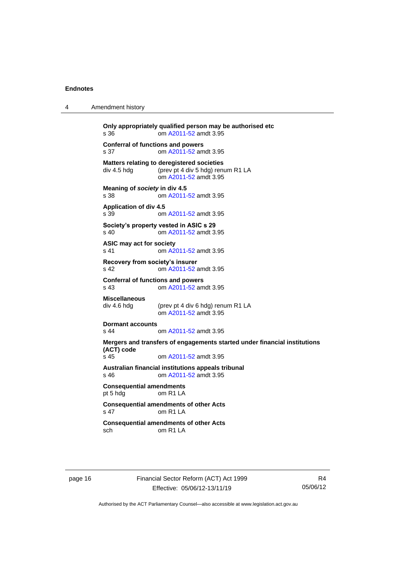4 Amendment history

| s 36                                             | Only appropriately qualified person may be authorised etc<br>om A2011-52 amdt 3.95                       |
|--------------------------------------------------|----------------------------------------------------------------------------------------------------------|
| <b>Conferral of functions and powers</b><br>s 37 | om A2011-52 amdt 3.95                                                                                    |
| div 4.5 hdg                                      | Matters relating to deregistered societies<br>(prev pt 4 div 5 hdg) renum R1 LA<br>om A2011-52 amdt 3.95 |
| Meaning of society in div 4.5<br>s 38            | om A2011-52 amdt 3.95                                                                                    |
| <b>Application of div 4.5</b><br>s 39            | om A2011-52 amdt 3.95                                                                                    |
| $\sin 40$                                        | Society's property vested in ASIC s 29<br>om A2011-52 amdt 3.95                                          |
| ASIC may act for society<br>s 41                 | om A2011-52 amdt 3.95                                                                                    |
| Recovery from society's insurer<br>s 42          | om A2011-52 amdt 3.95                                                                                    |
| <b>Conferral of functions and powers</b><br>s 43 | om A2011-52 amdt 3.95                                                                                    |
| <b>Miscellaneous</b><br>div 4.6 hdg              | (prev pt 4 div 6 hdg) renum R1 LA<br>om A2011-52 amdt 3.95                                               |
| <b>Dormant accounts</b><br>$s$ 44                | om A2011-52 amdt 3.95                                                                                    |
| (ACT) code                                       | Mergers and transfers of engagements started under financial institutions                                |
| s 45                                             | om A2011-52 amdt 3.95<br>Australian financial institutions appeals tribunal                              |
| s 46                                             | om A2011-52 amdt 3.95                                                                                    |
| <b>Consequential amendments</b><br>pt 5 hdg      | om R <sub>1</sub> LA                                                                                     |
| s 47                                             | <b>Consequential amendments of other Acts</b><br>om R <sub>1</sub> L <sub>A</sub>                        |
| sch                                              | <b>Consequential amendments of other Acts</b><br>$om$ R <sub>1</sub> L <sub>A</sub>                      |

page 16 Financial Sector Reform (ACT) Act 1999 Effective: 05/06/12-13/11/19

R4 05/06/12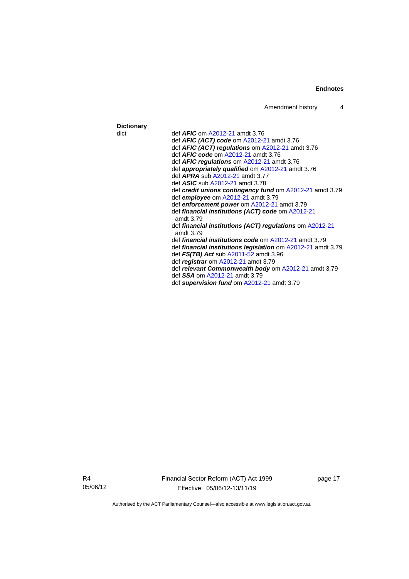Amendment history 4

#### **Dictionary** dict def *AFIC* o[m A2012-21](http://www.legislation.act.gov.au/a/2012-21) amdt 3.76 def *AFIC (ACT) code* om [A2012-21](http://www.legislation.act.gov.au/a/2012-21) amdt 3.76 def *AFIC (ACT) regulations* o[m A2012-21](http://www.legislation.act.gov.au/a/2012-21) amdt 3.76 def *AFIC code* om [A2012-21](http://www.legislation.act.gov.au/a/2012-21) amdt 3.76 def *AFIC regulations* o[m A2012-21](http://www.legislation.act.gov.au/a/2012-21) amdt 3.76 def *appropriately qualified* om [A2012-21](http://www.legislation.act.gov.au/a/2012-21) amdt 3.76 def *APRA* sub [A2012-21](http://www.legislation.act.gov.au/a/2012-21) amdt 3.77 def *ASIC* sub [A2012-21](http://www.legislation.act.gov.au/a/2012-21) amdt 3.78 def *credit unions contingency fund* o[m A2012-21](http://www.legislation.act.gov.au/a/2012-21) amdt 3.79 def *employee* om [A2012-21](http://www.legislation.act.gov.au/a/2012-21) amdt 3.79 def *enforcement power* o[m A2012-21](http://www.legislation.act.gov.au/a/2012-21) amdt 3.79 def *financial institutions (ACT) code* o[m A2012-21](http://www.legislation.act.gov.au/a/2012-21) amdt 3.79 def *financial institutions (ACT) regulations* om [A2012-21](http://www.legislation.act.gov.au/a/2012-21) amdt 3.79 def *financial institutions code* o[m A2012-21](http://www.legislation.act.gov.au/a/2012-21) amdt 3.79 def *financial institutions legislation* om [A2012-21](http://www.legislation.act.gov.au/a/2012-21) amdt 3.79 def *FS(TB) Act* sub [A2011-52](http://www.legislation.act.gov.au/a/2011-52) amdt 3.96 def *registrar* om [A2012-21](http://www.legislation.act.gov.au/a/2012-21) amdt 3.79 def *relevant Commonwealth body* o[m A2012-21](http://www.legislation.act.gov.au/a/2012-21) amdt 3.79 def *SSA* om [A2012-21](http://www.legislation.act.gov.au/a/2012-21) amdt 3.79 def *supervision fund* om [A2012-21](http://www.legislation.act.gov.au/a/2012-21) amdt 3.79

R4 05/06/12 Financial Sector Reform (ACT) Act 1999 Effective: 05/06/12-13/11/19